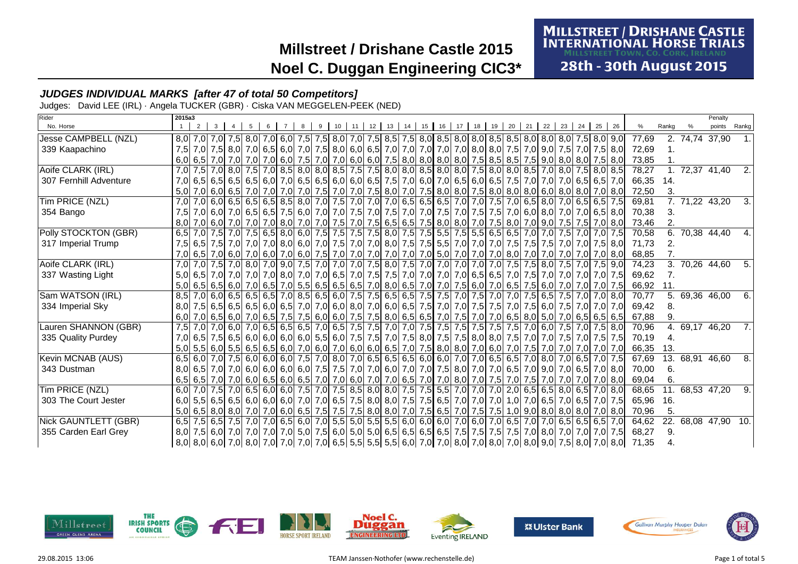# **MILLSTREET / DRISHANE CASTLE<br>INTERNATIONAL HORSE TRIALS**

28th - 30th August 2015

### **JUDGES INDIVIDUAL MARKS [after 47 of total 50 Competitors]**

Judges: David LEE (IRL) · Angela TUCKER (GBR) · Ciska VAN MEGGELEN-PEEK (NED)

| Rider                  | 2015a3 |                |                                                                                                                                                                                                                                 |  |   |   |   |    |    |         |    |         |    |    |    |      |       |    |       |                               |       |       |                | Penalty             |        |
|------------------------|--------|----------------|---------------------------------------------------------------------------------------------------------------------------------------------------------------------------------------------------------------------------------|--|---|---|---|----|----|---------|----|---------|----|----|----|------|-------|----|-------|-------------------------------|-------|-------|----------------|---------------------|--------|
| No. Horse              |        | 2 <sup>1</sup> |                                                                                                                                                                                                                                 |  | 6 | 8 | 9 | 10 | 11 | $12$ 13 | 14 | $15$ 16 | 17 | 18 | 19 | 20 l | 21 22 | 23 | 24 25 | 26                            |       | Rankg |                | points              | Rankg  |
| Jesse CAMPBELL (NZL)   |        |                | 8,0 7,5 8,0 7,5 8,0 7,5 8,0 7,5 8,0 7,5 8,0 7,0 7,5 8,5 7,5 8,0 8,5 8,0 8,0 8,0 8,5 8,5 8,0 8,0 8,0 8,0 7,5 8,0 9,0                                                                                                             |  |   |   |   |    |    |         |    |         |    |    |    |      |       |    |       |                               | 77,69 |       | 2. 74.74 37.90 |                     |        |
| 339 Kaapachino         |        |                | 7,5 7,0 7,5 8,0 7,5 8,0 7,5 8,0 7,0 7,5 8,0 6,0 6,5 7,0 7,0 7,0 7,0 7,0 7,0 8,0 8,0 7,5 7,0 9,0 7,5 7,0 7,5 8,0                                                                                                                 |  |   |   |   |    |    |         |    |         |    |    |    |      |       |    |       |                               | 72,69 |       |                |                     |        |
|                        |        |                | 6,0   6,5   7,0   7,0   7,0   7,0   6,0   7,5   7,0   7,0   6,0   6,0   7,5   8,0   8,0   8,0   7,5   8,5   7,5   9,0   8,0   8,0   7,5   8,0   7,5   9,0   8,0   7,5   8,0   7,5   8,0   7,5   9,0   8,0   7,5   8,0   7,5   8 |  |   |   |   |    |    |         |    |         |    |    |    |      |       |    |       |                               | 73,85 |       |                |                     |        |
| Aoife CLARK (IRL)      | 7,0    |                | 7,5 7,0 8,0 7,5 7,0 8,0 7,5 8,0 8,0 8,0 8,0 8,5 7,5 7,5 8,0 8,0 8,0 8,0 8,0 7,5 8,0 8,0 8,5 7,0 8,0 7,5 8,0 8,5                                                                                                                 |  |   |   |   |    |    |         |    |         |    |    |    |      |       |    |       |                               | 78,27 |       |                | 72,37 41,40         | 2.     |
| 307 Fernhill Adventure |        |                | 7,0 6,5 6,5 6,5 6,5 6,5 6,5 6,6 7,0 6,5 6,5 6,6 6,0 6,0 6,5 7,5 7,0 6,0 7,0 6,5 6,0 6,5 7,5 7,0 7,0 7,0 7,0 6,5 6,5 7,0                                                                                                         |  |   |   |   |    |    |         |    |         |    |    |    |      |       |    |       |                               | 66,35 | 14.   |                |                     |        |
|                        |        |                | 5,0 7,0 6,0 6,0 7,0 7,0 7,0 7,0 7,0 7,0 7,5 7,0 7,0 7,5 8,0 7,0 7,5 8,0 8,0 7,5 8,0 8,0 8,0 8,0 6,0 8,0 7,0 8,0                                                                                                                 |  |   |   |   |    |    |         |    |         |    |    |    |      |       |    |       |                               | 72,50 | 3.    |                |                     |        |
| Tim PRICE (NZL)        |        |                | 7,0 7,0 6,5 6,5 6,5 6,5 6,5 7,5 7,0 7,0 7,0 7,0 7,0 7,0 7,0 6,5 6,5 6,5 7,0 7,0 7,0 7,5 7,0 6,5 8,0 7,0 6,5 6,5 7,5                                                                                                             |  |   |   |   |    |    |         |    |         |    |    |    |      |       |    |       |                               | 69,81 |       |                | 7. 71,22 43,20      | 3.     |
| 354 Bango              |        |                | 7,5 7,0 6,0 7,0 6,5 6,5 7,5 6,0 7,0 7,5 7,0 7,5 7,0 7,5 7,0 7,5 7,0 7,5 7,0 7,5 7,0 7,5 7,0 6,0 8,0 7,0 7,0 6,5 8,0                                                                                                             |  |   |   |   |    |    |         |    |         |    |    |    |      |       |    |       |                               | 70.38 |       |                |                     |        |
|                        |        |                | 8,0 7,0 6,0 7,0 7,0 7,0 7,0 8,0 7,0 7,0 7,0 7,5 7,0 7,5 6,5 6,5 7,5 8,0 8,0 7,0 7,5 8,0 7,0 9,0 7,5 7,5 7,0 8,0                                                                                                                 |  |   |   |   |    |    |         |    |         |    |    |    |      |       |    |       |                               | 73,46 | 2.    |                |                     |        |
| Polly STOCKTON (GBR)   |        |                | 6,5 7,0 7,5 7,0 7,5 6,5 8,0 6,0 7,5 7,5 7,5 7,5 8,0 7,5 8,0 7,5 7,5 8,0 7,5 5,5 7,5 6,5 6,5 6,5 7,0 7,0 7,5 7,0 7,5 7,0 7,5                                                                                                     |  |   |   |   |    |    |         |    |         |    |    |    |      |       |    |       |                               | 70,58 | 6.    |                | 70,38 44,40         | 4.     |
| 317 Imperial Trump     |        |                | 7,5 6,5 7,5 7,0 7,0 7,0 8,0 6,0 7,0 7,5 7,0 7,0 8,0 7,5 7,5 7,5 6,5 7,0 7,0 7,0 7,0 7,5 7,5 7,5 7,6 7,0 7,6 8,0                                                                                                                 |  |   |   |   |    |    |         |    |         |    |    |    |      |       |    |       |                               | 71,73 | 2.    |                |                     |        |
|                        |        |                | 7,0 6,5 7,0 6,0 7,0 6,0 7,0 6,0 7,0 6,0 7,5 7,0 7,0 7,0 7,0 7,0 7,0 7,0 5,0 7,0 7,0 7,0 8,0 7,0 7,0 7,0 7,0 7,0 8,0                                                                                                             |  |   |   |   |    |    |         |    |         |    |    |    |      |       |    |       |                               | 68,85 |       |                |                     |        |
| Aoife CLARK (IRL)      |        |                | 7,0 7,5 7,0 7,5 7,0 8,0 7,5 9,0 7,5 7,0 7,0 7,0 7,0 7,0 7,5 8,0 7,5 7,0 7,0 7,0 7,0 7,0 7,5 7,5 8,0 7,5 7,0 7,5 9,0                                                                                                             |  |   |   |   |    |    |         |    |         |    |    |    |      |       |    |       |                               | 74.23 |       |                | 3. 70,26 44,60      | 5.1    |
| 337 Wasting Light      |        |                | 5,0 6,5 7,0 7,0 7,0 7,0 7,0 8,0 7,0 7,0 6,5 7,0 7,5 7,5 7,0 7,0 7,0 7,0 6,5 6,5 7,0 7,5 7,0                                                                                                                                     |  |   |   |   |    |    |         |    |         |    |    |    |      |       |    |       | 7.0 7.0 7.0 7.5               | 69,62 | 7.    |                |                     |        |
|                        |        |                | 5,0 6,5 6,5 6,0 7,0 6,5 7,0 6,5 7,0 6,5 6,5 6,5 6,5 6,5 7,0 8,0 6,5 7,0 7,0 7,0 7,5 6,0 7,0 6,5 7,5 6,0 7,0 7,0                                                                                                                 |  |   |   |   |    |    |         |    |         |    |    |    |      |       |    |       | 7,0 7,5                       | 66,92 | 11.   |                |                     |        |
| Sam WATSON (IRL)       |        |                | 8,5 7,0 6,0 6,5 6,5 6,5 7,0 8,5 6,5 6,0 7,5 7,5 6,5 6,5 7,5 7,5 7,5 7,6 7,6 7,0 7,5 7,0 7,0 7,5 6,5 7,5 7,0 7                                                                                                                   |  |   |   |   |    |    |         |    |         |    |    |    |      |       |    |       | 7.0 8.0                       | 70.77 | 5.    |                | 69,36 46,00         | 6.     |
| 334 Imperial Sky       |        |                | 8,0 7,5 6,5 6,5 6,5 6,5 6,5 6,6 6,5 7,0 7,0 6,0 8,0 7,0 6,0 6,5 7,5 7,0 7,0 7,0 7,5 7,5 7,6 7,5 6,0 7,5 7,0 7,0 7,0 7,0                                                                                                         |  |   |   |   |    |    |         |    |         |    |    |    |      |       |    |       |                               | 69,42 | 8.    |                |                     |        |
|                        |        |                | 6,0 7,0 6,5 6,6 7,0 6,5 6,5 6,5 6,5 6,5 7,6 6,0 6,0 7,5 7,5 8,0 6,5 6,5 7,0 7,5 7,0 7,0 6,5 8,0 5,0 7,0 6,5 6,5 6,5 6,5                                                                                                         |  |   |   |   |    |    |         |    |         |    |    |    |      |       |    |       |                               | 67,88 |       |                |                     |        |
| Lauren SHANNON (GBR)   |        |                | 7,5 7,6 7,0 6,0 7,6 6,0 7,6 6,7 6 8,0 7,6 6,5 7,0 6,5 7,6 7,6 7,6 7,0 7,6 7,5 7,5 7,5 7,5 7,5 7,6 7,0 6,0 7,5 7,0 7,5 8,0                                                                                                       |  |   |   |   |    |    |         |    |         |    |    |    |      |       |    |       |                               | 70,96 |       |                | 4. 69,17 46,20      | - 7. I |
| 335 Quality Purdey     |        |                | 7,0 6,5 7,5 6,5 6,0 6,0 6,0 6,0 6,0 5,5 6,0 7,5 7,5 7,0 7,5 8,0 7,5 7,5 8,0 8,0 7,5 7,0 7,0 7,5 7,0 7,5 7,0 7,5 7,5                                                                                                             |  |   |   |   |    |    |         |    |         |    |    |    |      |       |    |       |                               | 70,19 | 4.    |                |                     |        |
|                        |        |                | 5,0 5,5 6,0 5,5 6,0 5,5 6,5 6,5 6,0 7,0 6,0 7,0 6,0 6,0 6,0 6,5 7,0 7,5 8,0 8,0 7,0 6,0 7,0 7,5 7,0 7,0 7,0 7,0 7,0 7,0                                                                                                         |  |   |   |   |    |    |         |    |         |    |    |    |      |       |    |       |                               | 66,35 | 13.   |                |                     |        |
| Kevin MCNAB (AUS)      |        |                | 6,5 6,0 7,0 7,5 6,0 6,0 6,0 6,0 7,5 7,0 8,0 7,0 6,5 6,5 6,5 6,5 6,0 6,0 7,0 7,0 6,5 6,5 7,0 8,0 7,0 6,5 7,0 7,5                                                                                                                 |  |   |   |   |    |    |         |    |         |    |    |    |      |       |    |       |                               | 67,69 | 13.   |                | 68,91 46,60         | 8.     |
| 343 Dustman            |        |                | 8,0 6,5 7,0 7,0 6,5 7,0 6,0 6,0 6,0 6,0 7,5 7,5 7,6 7,0 7,0 6,0 7,0 7,0 7,5 8,0 7,0 7,0 6,5 7,0 9,0 7,0 6,5 7,0 8,0                                                                                                             |  |   |   |   |    |    |         |    |         |    |    |    |      |       |    |       |                               | 70,00 | 6.    |                |                     |        |
|                        |        |                | 6,5 6,5 7,0 7,0 6,0 6,5 6,0 6,5 6,0 7,0 7,0 6,0 7,0 7,0 6,5 7,0 7,0 8,0 7,0 8,0 7,0 7,5 7,0 7,5 7,0 7,0 7,0 7,0 7,0 8,0                                                                                                         |  |   |   |   |    |    |         |    |         |    |    |    |      |       |    |       |                               | 69,04 | 6.    |                |                     |        |
| Tim PRICE (NZL)        | 6.0    |                | 7,0 7,5 7,0 6,5 6,0 6,0 7,5 7,0 7,5 8,5 8,0 8,0 7,5 7,5 5,5 7,0 7,0 7,0 7,0 8,5 6,5 8,0 6,5 7,0 8,0                                                                                                                             |  |   |   |   |    |    |         |    |         |    |    |    |      |       |    |       |                               | 68,65 | 11.   |                | 68,53 47,20         | 9.1    |
| 303 The Court Jester   |        |                | 6,0 5,5 6,5 6,5 6,0 6,0 6,0 7,0 7,0 6,5 7,5 8,0 8,0 7,5 7,5 6,5 7,0 7,0 7,0 7,0                                                                                                                                                 |  |   |   |   |    |    |         |    |         |    |    |    |      |       |    |       | 1.0 7.0 6.5 7.0 6.5 7.0 7.5   | 65.96 | 16.   |                |                     |        |
|                        |        |                | 5,0 6,5 8,0 8,0 7,0 7,0 6,0 6,5 7,5 7,5 8,0 8,0 7,0 7,5 6,5 7,0 7,5 7,5 6,5 7,0 7,5 7,5                                                                                                                                         |  |   |   |   |    |    |         |    |         |    |    |    |      |       |    |       | $1,0$ 9,0 8,0 8,0 8,0 7,0 8,0 | 70,96 | 5.    |                |                     |        |
| Nick GAUNTLETT (GBR)   |        |                | 6,5 7,5 6,5 7,5 6,7 7,6 7,0 7,0 6,5 6,0 7,0 5,5 5,0 5,5 5,5 5,5 6,0 6,0 6,0 7,0 6,0 7,0 6,5 7,0 7,0 6,5 6,5 6,5 6,5 7,0                                                                                                         |  |   |   |   |    |    |         |    |         |    |    |    |      |       |    |       |                               | 64.62 |       |                | 22. 68,08 47,90 10. |        |
| 355 Carden Earl Grey   |        |                | 8,0 7,0 7,0 7,0 7,0 7,0 7,0 7,0 7,5 6,0 7,5 6,0 5,0 5,0 6,5 6,5 6,5 6,5 7,5 7,5 7,5 7,5 7,0 8,0 7,0 7,0 7,0 7,0 7,1                                                                                                             |  |   |   |   |    |    |         |    |         |    |    |    |      |       |    |       |                               | 68,27 | 9.    |                |                     |        |
|                        |        |                | 8,0  8,0  6,0  7,0  8,0  7,0  7,0  7,0  7,0  6,5  5,5  5,5  5,5  6,0  7,0  7,0  8,0  7,0  8,0  9,0  9,0  7,5  8,0  7,0  8,0                                                                                                     |  |   |   |   |    |    |         |    |         |    |    |    |      |       |    |       |                               | 71,35 |       |                |                     |        |











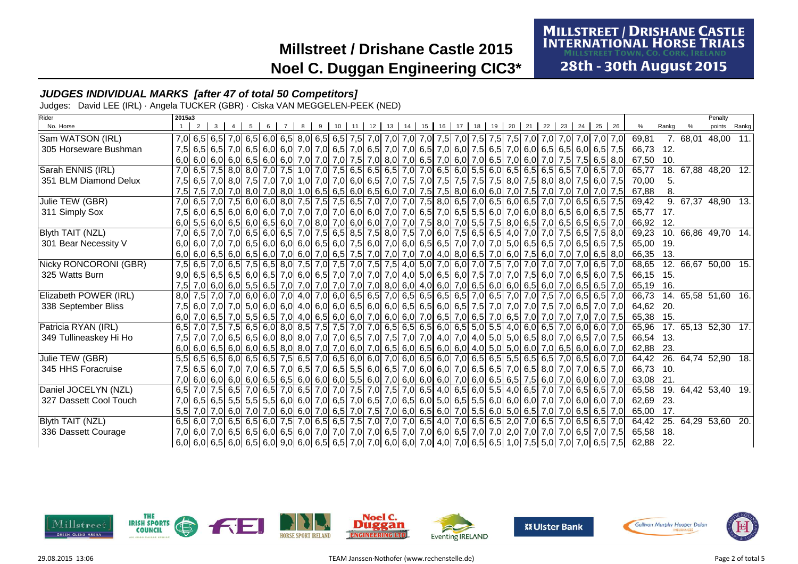## **MILLSTREET / DRISHANE CASTLE<br>INTERNATIONAL HORSE TRIALS**

28th - 30th August 2015

### **JUDGES INDIVIDUAL MARKS [after 47 of total 50 Competitors]**

Judges: David LEE (IRL) · Angela TUCKER (GBR) · Ciska VAN MEGGELEN-PEEK (NED)

| Rider                  | 2015a3           |   |  |                                                                                                                             |  |   |                 |    |        |    |                 |    |    |    |    |    |    |    |    |       |    |           |       |          | Penalty                   |       |
|------------------------|------------------|---|--|-----------------------------------------------------------------------------------------------------------------------------|--|---|-----------------|----|--------|----|-----------------|----|----|----|----|----|----|----|----|-------|----|-----------|-------|----------|---------------------------|-------|
| No. Horse              |                  | 2 |  |                                                                                                                             |  | 9 | 10 <sup>°</sup> | 11 | 12  13 | 14 | 15 <sup>1</sup> | 16 | 17 | 18 | 19 | 20 | 21 | 22 | 23 | 24 25 | 26 |           | Rankg |          | points                    | Rankg |
| Sam WATSON (IRL)       |                  |   |  |                                                                                                                             |  |   |                 |    |        |    |                 |    |    |    |    |    |    |    |    |       |    | 69.81     |       | 7. 68.01 | 48,00                     | 11.1  |
| 305 Horseware Bushman  |                  |   |  | 7,5 6,5 7,0 6,5 7,0 6,5 6,0 6,0 7,0 7,0 6,5 7,0 6,5 7,0 7,0 6,5 7,0 6,5 7,0 6,0 7,5 6,5 7,0 6,0 6,5 6,5 6,6 6,6 7,5         |  |   |                 |    |        |    |                 |    |    |    |    |    |    |    |    |       |    | 66,73 12. |       |          |                           |       |
|                        |                  |   |  | 6,0 6,0 6,0 6,0 6,0 6,5 6,5 6,5 6,0 7,0 7,0 7,0 7,0 7,0 8,0 7,0 6,5 7,0 6,6 7,0 6,0 7,0 6,5 7,0 6,0 7,0 7,5 7,5 6,5 8,0     |  |   |                 |    |        |    |                 |    |    |    |    |    |    |    |    |       |    | 67,50 10. |       |          |                           |       |
| Sarah ENNIS (IRL)      |                  |   |  | 7,0 6,5 7,5 8,0 8,0 7,6 1,0 7,6 1,0 7,6 1,0 7,5 6,5 6,5 6,5 6,5 7,0 7,0 6,5 6,0 5,5 6,0 6,5 6,5 6,5 6,5 6,5 7,0 6,5 7,0     |  |   |                 |    |        |    |                 |    |    |    |    |    |    |    |    |       |    | 65.77     | 18.   |          | 67,88 48,20 12.           |       |
| 351 BLM Diamond Delux  |                  |   |  | 7,5 6,6 7,0 8,0 7,5 6,0 7,5 6,0 7,5 6,0 7,5 7,0 6,0 6,5 7,0 7,5 7,0 7,5 7,5 7,5 7,5 8,0 7,5 8,0 8,0 7,5 6,0 7,5             |  |   |                 |    |        |    |                 |    |    |    |    |    |    |    |    |       |    | 70.00     | 5.    |          |                           |       |
|                        |                  |   |  | 7,5 7,0 7,0 8,0 7,0 8,0 1,0 6,5 6,5 6,0 6,5 6,0 7,0 7,5 7,5 8,0 6,0 6,0 7,0 7,5 7,5 8,0 7,0 7,5 7,0 7,0 7,0 7,0 7,0 7,0     |  |   |                 |    |        |    |                 |    |    |    |    |    |    |    |    |       |    | 67,88     | 8.    |          |                           |       |
| Julie TEW (GBR)        |                  |   |  | 7,0 6,5 7,0 7,0 7,5 6,0 6,5 7,0 7,5 6,6 7,5 7,5 7,5 6,5 7,0 7,0 7,0 7,0 7,5 8,0 6,5 7,0 6,5 6,0 6,5 7,0 7,0 6,5 6,5 7,5     |  |   |                 |    |        |    |                 |    |    |    |    |    |    |    |    |       |    | 69,42     |       |          | 9. 67,37 48,90 13.        |       |
| 311 Simply Sox         |                  |   |  | 7,5 6,0 6,5 6,0 6,5 6,0 6,5 7,5 6,0 6,0 6,0 7,0 7,0 7,0 6,0 6,0 7,0 7,0 6,5 7,0 6,5 7,0 6,5 6,0 7,0 6,0 7,0 6,0 7,0 6,5 7,5 |  |   |                 |    |        |    |                 |    |    |    |    |    |    |    |    |       |    | 65.77     | 17.   |          |                           |       |
|                        |                  |   |  | 6,0 6,5 6,6 6,6 6,6 6,6 6,6 7,0 8,0 7,0 6,0 6,0 7,0 7,0 7,0 7,0 7,6 8,0 7,0 5,5 7,5 8,0 6,5 7,0 6,5 6,5 6,5 6,5 7,0         |  |   |                 |    |        |    |                 |    |    |    |    |    |    |    |    |       |    | 66,92 12. |       |          |                           |       |
| Blyth TAIT (NZL)       |                  |   |  | 7,0 6,5 7,0 7,0 7,0 6,5 6,7 8,0 6,5 7,0 7,5 6,5 8,5 7,5 8,0 7,5 7,0 6,0 7,5 6,5 6,5 4,0 7,0 7,0 7,0 7,5 6,5 7,5 8,0         |  |   |                 |    |        |    |                 |    |    |    |    |    |    |    |    |       |    | 69,23     | 10.   |          | 66,86 49,70 14.           |       |
| 301 Bear Necessity V   |                  |   |  | 6,0 6,5 6,5 6,5 6,5 6,5 6,5 7,5 6,0 6,0 6,6 6,6 7,5 6,0 7,6 6,0 7,0 6,0 6,5 6,5 7,0 7,0 7,0 7,0 6,5 6,5 7,0 6,5 6,5 7,5     |  |   |                 |    |        |    |                 |    |    |    |    |    |    |    |    |       |    | 65,00 19. |       |          |                           |       |
|                        |                  |   |  | 6,0 6,5 6,0 6,5 6,0 6,5 6,0 7,0 6,5 7,0 6,0 7,0 6,5 7,6 7,0 7,0 7,0 7,0 4,0 8,0 6,5 7,0 6,0 7,5 6,0 7,0 7,0 6,5 8,0         |  |   |                 |    |        |    |                 |    |    |    |    |    |    |    |    |       |    | 66,35 13. |       |          |                           |       |
| Nicky RONCORONI (GBR)  |                  |   |  | 7,5 6,5 7,0 6,5 7,0 6,5 7,0 6,5 8,0 7,5 7,0 7,5 7,0 7,5 7,6 7,5 4,0 5,0 7,0 6,0 7,0 6,0 7,0 7,0 7,0 7,0 7,0 7,0 6,5 7,0     |  |   |                 |    |        |    |                 |    |    |    |    |    |    |    |    |       |    |           |       |          | 68,65 12. 66,67 50,00 15. |       |
| 325 Watts Burn         |                  |   |  | 9,0 6,5 6,6 7,5 6,0 7,0 6,5 6,0 7,5 6,0 7,6 7,0 7,0 7,0 7,0 7,0 7,0 7,0 4,0 5,0 6,5 6,0 7,5 7,0 7,0 7,5 6,0 7,0 6,5 6,0 7,5 |  |   |                 |    |        |    |                 |    |    |    |    |    |    |    |    |       |    | 66,15 15. |       |          |                           |       |
|                        |                  |   |  | 7,5 7,0 6,0 6,0 6,0 6,0 5,5 6,5 7,0 7,0 7,0 7,0 7,0 7,0 8,0 6,0 4,0 6,0 7,0 6,5 6,0 6,0 6,5 6,0 7,0 6,5 6,6 7,0             |  |   |                 |    |        |    |                 |    |    |    |    |    |    |    |    |       |    | 65,19     | 16.   |          |                           |       |
| Elizabeth POWER (IRL)  |                  |   |  | 8,0 7,5 7,0 7,0 7,0 6,5 6,5 7,0 4,0 7,0 6,0 6,5 6,5 7,0 6,5 6,5 6,5 6,5 7,0 6,5 7,0 6,5 7,0 7,0 7,5 7,0 6,5 6,5 7,0         |  |   |                 |    |        |    |                 |    |    |    |    |    |    |    |    |       |    | 66,73     |       |          | 14. 65,58 51,60 16.       |       |
| 338 September Bliss    |                  |   |  |                                                                                                                             |  |   |                 |    |        |    |                 |    |    |    |    |    |    |    |    |       |    | 64,62 20. |       |          |                           |       |
|                        |                  |   |  | 6,0 7,0 6,5 7,0 6,5 7,0 6,5 6,5 7,0 4,0 6,5 6,0 6,0 7,0 6,0 6,0 7,0 6,0 7,0 6,5 7,0 6,5 7,0 6,5 7,0 7,0 7,0 7,0 7,0 7,0 7,5 |  |   |                 |    |        |    |                 |    |    |    |    |    |    |    |    |       |    | 65,38 15. |       |          |                           |       |
| Patricia RYAN (IRL)    |                  |   |  | 6,5 7,0 7,5 7,5 6,5 6,0 8,0 8,5 7,5 7,5 7,0 7,0 6,5 6,5 6,5 6,0 6,5 5,0 5,5 4,0 6,0 6,5 7,0 6,0 6,0 7,0                     |  |   |                 |    |        |    |                 |    |    |    |    |    |    |    |    |       |    |           |       |          | 65,96 17. 65,13 52,30 17. |       |
| 349 Tullineaskey Hi Ho | 7.5 <sub>1</sub> |   |  | 7,0 7,0 6,5 6,5 6,6 6,6 6,0 8,0 7,0 7,0 7,0 6,5 7,0 7,5 7,0 7,0 4,0 7,0 4,0 5,0 5,0 6,5 8,0 7,0 6,5 7,0 7,5                 |  |   |                 |    |        |    |                 |    |    |    |    |    |    |    |    |       |    | 66.54 13. |       |          |                           |       |
|                        |                  |   |  | 6,0 6,0 6,0 6,0 6,0 6,0 6,0 6,0 7,0 6,0 7,0 6,0 7,0 6,5 6,0 6,5 6,0 6,0 4,0 5,0 5,0 6,0 7,0 6,5 6,0 6,0 7,0                 |  |   |                 |    |        |    |                 |    |    |    |    |    |    |    |    |       |    | 62,88 23. |       |          |                           |       |
| Julie TEW (GBR)        |                  |   |  | 5,5 6,5 6,5 6,6 6,0 6,5 6,0 7,6 6,5 7,0 6,5 6,0 6,0 7,0 6,0 6,0 6,5 6,0 7,0 6,5 6,5 6,5 6,5 6,5 6,5 7,0 6,5 6,0 7,0         |  |   |                 |    |        |    |                 |    |    |    |    |    |    |    |    |       |    |           |       |          | 64,42 26. 64,74 52,90 18. |       |
| 345 HHS Foracruise     |                  |   |  | 7,5 6,5 6,0 7,0 7,0 7,0 6,5 7,0 6,5 7,0 6,5 7,0 6,5 5,5 6,0 6,5 7,0 6,0 6,0 7,0 6,5 6,5 7,0 6,5 8,0 7,0 7,0 6,5 7,0         |  |   |                 |    |        |    |                 |    |    |    |    |    |    |    |    |       |    | 66.73 10. |       |          |                           |       |
|                        |                  |   |  | 7,0 6,0 6,0 6,0 6,0 6,0 6,0 6,0 6,5 6,6 6,0 6,0 6,0 6,0 7,0 6,0 6,0 6,0 6,0 7,0 6,0 6,5 6,5 7,5 6,0 7,0 6,0 6,0 6,0 7,0     |  |   |                 |    |        |    |                 |    |    |    |    |    |    |    |    |       |    | 63,08 21. |       |          |                           |       |
| Daniel JOCELYN (NZL)   |                  |   |  | 6,5 7,0 7,5 6,5 7,0 6,5 7,0 6,5 7,0 6,5 7,0 7,0 7,0 7,5 7,0 7,5 7,0 6,5 4,0 6,5 6,0 5,5 4,0 6,5 7,0 7,0 6,5 6,5 7,0         |  |   |                 |    |        |    |                 |    |    |    |    |    |    |    |    |       |    | 65,58     |       |          | 19. 64,42 53,40 19.       |       |
| 327 Dassett Cool Touch |                  |   |  | 7,0 6,5 6,6 5,5 6,5 5,5 5,5 6,0 6,0 7,0 6,6 7,0 6,5 7,0 6,5 7,0 6,5 6,0 5,0 6,5 5,5 6,0 6,0 6,0 7,0 7,0 6,0 6,0 7,0         |  |   |                 |    |        |    |                 |    |    |    |    |    |    |    |    |       |    | 62,69 23. |       |          |                           |       |
|                        |                  |   |  | 5,5 7,0 7,0 6,0 7,0 6,5 6,5 7,0 6,0 6,0 7,0 6,6 7,0 7,5 7,0 6,0 6,5 6,0 7,0 5,5 6,0 5,0 6,5 7,0 7,0 6,5 6,5 7,0             |  |   |                 |    |        |    |                 |    |    |    |    |    |    |    |    |       |    | 65,00 17. |       |          |                           |       |
| Blyth TAIT (NZL)       |                  |   |  | 6,5 6,6 7,0 6,5 6,5 6,5 6,5 7,0 6,5 7,0 6,5 6,5 7,6 7,0 7,0 7,0 6,5 4,0 7,0 6,5 6,5 2,0 7,0 6,5 7,0 6,5 7,0 6,5 7,0         |  |   |                 |    |        |    |                 |    |    |    |    |    |    |    |    |       |    | 64,42     |       |          | 25. 64,29 53,60 20.       |       |
| 336 Dassett Courage    |                  |   |  | 7,0 6,5 7,0 6,5 6,5 6,0 6,5 6,0 6,5 6,0 7,0 7,0 7,0 7,0 7,0 6,5 7,0 7,0 6,0 6,5 7,0 7,0 2,0 7,0 7,0 7,0 6,5 7,0 7,5         |  |   |                 |    |        |    |                 |    |    |    |    |    |    |    |    |       |    | 65,58 18. |       |          |                           |       |
|                        |                  |   |  | 6,0 6,5 6,0 6,5 6,0 6,5 6,0 6,5 6,0 9,0 6,0 6,5 6,5 7,0 7,0 6,0 6,0 7,0 4,0 7,0 6,5 6,5 1,0 7,5 5,0 7,0 7,0 6,5 7,5         |  |   |                 |    |        |    |                 |    |    |    |    |    |    |    |    |       |    | 62,88 22. |       |          |                           |       |











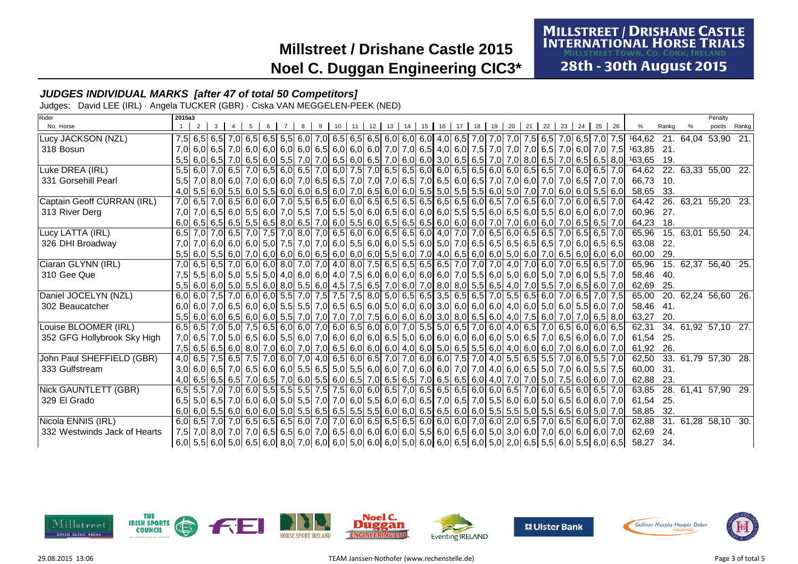# **MILLSTREET / DRISHANE CASTLE<br>INTERNATIONAL HORSE TRIALS**

28th - 30th August 2015

### **JUDGES INDIVIDUAL MARKS [after 47 of total 50 Competitors]**

Judges: David LEE (IRL) · Angela TUCKER (GBR) · Ciska VAN MEGGELEN-PEEK (NED)

| Rider                        | 2015a3 |                |              |   |     |   |  |  |  |                                                                                                                                         |  |  |  |  |             |                                                                                                                                    |       | Penalty             |       |
|------------------------------|--------|----------------|--------------|---|-----|---|--|--|--|-----------------------------------------------------------------------------------------------------------------------------------------|--|--|--|--|-------------|------------------------------------------------------------------------------------------------------------------------------------|-------|---------------------|-------|
| No. Horse                    |        | 2 <sup>1</sup> | $\mathbf{3}$ | 5 | 6 7 | 8 |  |  |  | 9 10 11 12 13 14 15 16 17 18 19 20 21 22                                                                                                |  |  |  |  | 23 24 25 26 | %                                                                                                                                  | Rankg | points              | Rankg |
| Lucy JACKSON (NZL)           |        |                |              |   |     |   |  |  |  |                                                                                                                                         |  |  |  |  |             | 7,5 6,5 7,0 7,5 164,62 21 64,64 53,90 21                                                                                           |       |                     |       |
| 318 Bosun                    |        |                |              |   |     |   |  |  |  |                                                                                                                                         |  |  |  |  |             | 7,0 6,0 6,5 7,0 6,0 7,0 6,0 6,0 6,0 6,0 6,0 6,0 6,0 6,0 6,0 7,0 7,0 6,5 4,0 6,0 7,5 7,0 7,0 7,0 6,5 7,0 6,0 7,0 7,0 7,5 163,85 21. |       |                     |       |
|                              |        |                |              |   |     |   |  |  |  |                                                                                                                                         |  |  |  |  |             | 5,5 6,0 6,5 7,0 6,5 6,5 8,0 163,65 7,0 7,0 6,5 6,0 6,5 7,0 6,0 6,0 6,0 6,5 6,5 7,0 7,0 8,0 6,5 7,0 6,5 6,5 6,5 8,0 163,65          | - 19. |                     |       |
| Luke DREA (IRL)              |        |                |              |   |     |   |  |  |  | 5,5 6,0 7,0 6,5 7,0 6,5 7,0 6,5 6,0 6,5 7,0 6,0 7,5 7,0 6,5 6,5 6,0 6,0 6,5 6,5 6,6 6,0 6,0 6,5 6,5 7,0 6,0 6,5 7,0                     |  |  |  |  |             | 64,62                                                                                                                              |       | 22. 63,33 55,00 22. |       |
| 331 Gorsehill Pearl          |        |                |              |   |     |   |  |  |  | 5,5 7,0 8,0 6,0 7,0 8,0 7,0 6,5 7,0 6,7 8 7,0 8,5 8,5 7,0 7,0 7,0 8,5 7,0 6,5 8,0 6,5 7,0 7,0 6,0 7,0 7,0 6,5 7,0 7,0 8,5 7,0 7,0       |  |  |  |  |             | 66.73                                                                                                                              | - 10. |                     |       |
|                              |        |                |              |   |     |   |  |  |  | 4,0 5,5 6,0 7,0 7,0 6,0 5,5 6,0 5,5 6,0 6,0 6,5 6,0 7,0 6,5 6,0 7,0 6,5 6,0 6,0 6,0 5,5 6,0 5,5 6,0 5,5 6,0 7,0 7,0 6,0 6,0 5,5 6,0     |  |  |  |  |             | 58,65 33.                                                                                                                          |       |                     |       |
| Captain Geoff CURRAN (IRL)   |        |                |              |   |     |   |  |  |  | 7,0 6,5 7,0 6,5 7,0 6,5 6,0 6,0 7,0 5,5 6,5 6,5 6,0 6,0 6,5 6,5 6,5 6,5 6,5 6,5 6,5 6,0 6,5 7,0 6,5 7,0 6,0 7,0 6,0 6,5 7,0             |  |  |  |  |             | 64,42 26 63,21                                                                                                                     |       | 55,20 23.           |       |
| 313 River Derg               |        |                |              |   |     |   |  |  |  | 7,0 7,0 6,5 6,0 5,5 6,0 5,5 6,0 7,0 5,5 7,0 5,5 7,0 6,0 6,0 6,5 6,0 6,0 6,0 5,5 5,5 6,0 6,5 6,0 5,5 6,0 6,0 6,0 6,0 7,0                 |  |  |  |  |             | 60.96                                                                                                                              | - 27. |                     |       |
|                              |        |                |              |   |     |   |  |  |  | 6,0 6,5 6,6 6,6 6,6 6,5 6,5 6,5 6,6 7,0 6,6 7,0 6,0 5,5 6,0 6,5 6,5 6,6 6,6 6,0 6,0 6,0 7,0 6,0 6,0 7,0 6,6 7,0 6,5 6,5 7,0             |  |  |  |  |             | 64,23                                                                                                                              | 18.   |                     |       |
| Lucy LATTA (IRL)             |        |                |              |   |     |   |  |  |  | 6,5 7,0 7,0 6,5 7,0 7,0 6,5 7,0 7,0 8,0 7,0 6,5 6,0 6,0 6,5 6,5 6,5 6,0 4,0 7,0 7,0 6,5 6,0 6,5 6,5 7,0 6,5 6,5 7,0                     |  |  |  |  |             | 65,96                                                                                                                              |       | 15. 63,01 55,50 24. |       |
| 326 DHI Broadway             |        |                |              |   |     |   |  |  |  | 7,0 7,0 6,0 6,0 6,0 6,0 5,0 7,5 7,0 7,0 6,0 5,5 6,0 6,0 5,5 6,0 5,5 6,0 7,0 6,5 6,5 6,5 6,5 6,5 6,5 7,0 6,0 6,5 6,5 6,5                 |  |  |  |  |             | 63,08                                                                                                                              | 22.   |                     |       |
|                              |        |                |              |   |     |   |  |  |  | 5,5 6,0 5,5 6,0 7,0 6,0 7,0 6,0 6,0 6,0 6,0 6,5 6,0 6,0 6,0 5,5 6,0 7,0 4,0 6,5 6,0 6,0 5,0 6,0 7,0 6,0 7,0 6,5 6,0 6,0 6,0 6,0         |  |  |  |  |             | 60,00 29.                                                                                                                          |       |                     |       |
| Ciaran GLYNN (IRL)           |        |                |              |   |     |   |  |  |  | 7,0 6,5 7,0 6,6 7,0 6,0 6,5 6,5 7,0 6,0 6,6 7,0 4,0 6,5 6,5 6,5 6,5 6,5 6,5 7,0 7,0 7,0 4,0 7,0 6,0 7,0 6,5 6,5 7,0                     |  |  |  |  |             | 65,96                                                                                                                              |       | 15. 62,37 56,40 25. |       |
| 310 Gee Que                  |        |                |              |   |     |   |  |  |  | 7,5 5,6 6,0 5,0 5,0 5,5 6,0 5,5 6,0 4,0 6,0 6,0 4,0 7,5 6,0 6,0 6,0 6,0 6,0 7,0 5,5 6,0 5,0 6,0 5,0 7,0 6,0 5,5 7,0                     |  |  |  |  |             | 58.46                                                                                                                              | - 40. |                     |       |
|                              |        |                |              |   |     |   |  |  |  | 5,5 6,0 6,0 5,0 5,0 5,5 6,0 7,0 6,5 6,0 4,5 7,5 6,5 7,0 6,0 7,0 8,0 5,5 6,5 4,0 7,0 5,5 7,0 6,5 6,0 7,0                                 |  |  |  |  |             | 62,69                                                                                                                              | 25.   |                     |       |
| Daniel JOCELYN (NZL)         |        |                |              |   |     |   |  |  |  | 6,0 6,0 7,5 7,0 6,0 6,0 6,0 6,0 5,5 7,0 7,5 7,5 8,0 5,0 6,5 6,5 3,5 6,5 6,5 7,0 5,5 6,5 6,0 7,0 6,5 7,0 7,5                             |  |  |  |  |             | 65,00                                                                                                                              |       | 20. 62,24 56,60 26. |       |
| 302 Beaucatcher              |        |                |              |   |     |   |  |  |  |                                                                                                                                         |  |  |  |  |             | 58,46                                                                                                                              | -41.  |                     |       |
|                              |        |                |              |   |     |   |  |  |  | 5,5 6,0 6,0 6,5 6,0 6,5 6,0 6,5 6,0 6,0 7,0 7,0 7,0 7,0 7,5 6,0 6,0 6,0 3,0 8,0 6,5 6,0 4,0 7,5 6,0 7,0 7,0 6,5 8,0                     |  |  |  |  |             | 63,27                                                                                                                              | 20.   |                     |       |
| Louise BLOOMER (IRL)         |        |                |              |   |     |   |  |  |  | 6,5 6,5 7,0 5,0 7,5 6,5 6,0 6,0 7,0 6,0 7,0 6,0 6,5 6,0 6,0 7,0 5,5 5,0 6,5 7,0 6,0 4,0 6,5 7,0 6,5 6,0 6,0 6,0 6,5                     |  |  |  |  |             | 62,31                                                                                                                              |       | 34. 61,92 57,10 27. |       |
| 352 GFG Hollybrook Sky High  |        |                |              |   |     |   |  |  |  | 7,0 6,5 7,0 5,0 6,5 6,0 6,5 6,0 7,0 6,0 7,0 6,0 6,0 6,0 6,0 6,5 5,0 6,0 6,0 6,0 6,0 6,0 5,0 6,5 7,0 6,5 6,0 6,0 7,0                     |  |  |  |  |             | 61,54                                                                                                                              | - 25. |                     |       |
|                              |        |                |              |   |     |   |  |  |  | 7,5 6,5 6,6 6,0 7,0 6,0 7,0 6,0 7,0 7,0 7,0 6,5 6,0 6,0 6,0 6,0 4,0 6,0 5,0 6,5 5,5 6,0 4,0 6,0 6,0 7,0 6,0 7,0 6,0 7,0                 |  |  |  |  |             | 61,92                                                                                                                              | 26.   |                     |       |
| John Paul SHEFFIELD (GBR)    |        |                |              |   |     |   |  |  |  | 4,0 6,5 7,5 6,5 7,5 6,5 7,0 6,0 7,0 4,0 6,5 6,0 6,5 7,0 7,0 6,0 6,0 6,0 7,5 7,0 4,0 5,5 6,5 5,5 7,0 6,0 5,5 7,0                         |  |  |  |  |             | 62,50                                                                                                                              |       | 33. 61,79 57,30 28. |       |
| 333 Gulfstream               |        |                |              |   |     |   |  |  |  | 3,0 6,0 6,5 7,0 6,5 7,0 6,5 6,0 6,0 5,5 6,5 6,5 6,0 6,0 6,0 7,0 6,0 7,0 7,0 7,0 7,0 4,0 6,0 6,5 5,0 7,0 6,0 5,5 7,5                     |  |  |  |  |             | 60,00                                                                                                                              | -31.  |                     |       |
|                              |        |                |              |   |     |   |  |  |  | 4,0 6,5 6,5 6,6 7,0 6,5 7,0 6,6 7,0 6,0 5,5 6,0 6,5 7,0 6,5 6,5 7,0 6,5 6,5 6,5 6,0 4,0 7,0 7,0 5,0 7,5 6,0 6,0 7,0                     |  |  |  |  |             | 62,88                                                                                                                              | 23.   |                     |       |
| Nick GAUNTLETT (GBR)         |        |                |              |   |     |   |  |  |  | 6,5 5,6 7,0 7,0 6,0 5,5 5,5 5,5 5,5 7,5 7,5 6,0 6,0 6,5 7,0 6,5 6,5 6,5 6,6 6,0 6,0 6,5 7,0 6,0 6,5 6,0 6,5 7,0                         |  |  |  |  |             | 63,85                                                                                                                              |       | 28. 61,41 57,90 29. |       |
| 329 El Grado                 |        |                |              |   |     |   |  |  |  | 6,5 6,0 6,5 7,0 6,5 6,0 6,0 6,0 5,5 7,0 7,0 6,0 5,5 6,0 6,0 6,5 7,0 6,5 7,0 6,5 6,0 6,0 6,0 5,0 6,0 6,5 6,0 6,0 7,0                     |  |  |  |  |             | 61,54                                                                                                                              | 25.   |                     |       |
|                              |        |                |              |   |     |   |  |  |  | 6,0 6,0 5,5 6,0 6,0 6,0 6,0 6,0 7,0 6,5 6,5 6,5 6,5 6,5 6,5 6,5 6,0 6,0 6,5 6,5 6,0 6,0 6,0 6,0 5,5 5,5 6,0 5,5 6,6 6,0 5,0 7,0         |  |  |  |  |             | 58,85                                                                                                                              | 32.   |                     |       |
| Nicola ENNIS (IRL)           |        |                |              |   |     |   |  |  |  | 6,0 6,5 7,0 7,0 6,5 6,0 6,5 6,6 6,6 6,0 7,0 7,0 6,0 6,5 6,5 6,5 6,6 6,0 6,0 7,0 6,0 7,0 6,0 2,0 6,5 7,0 6,5 6,0 6,0 7,0                 |  |  |  |  |             | 62.88                                                                                                                              |       | 31. 61,28 58,10 30. |       |
| 332 Westwinds Jack of Hearts |        |                |              |   |     |   |  |  |  | 7,5 7,0 8,0 7,0 8,0 7,0 8,0 6,0 6,0 6,5 6,0 7,0 6,5 6,0 6,0 6,0 6,0 6,0 6,0 6,5 6,0 6,5 6,0 5,0 3,0 6,0 7,0 6,0 6,0 6,0 7,0 7,0 6,0 7,0 |  |  |  |  |             | 62,69                                                                                                                              | 24.   |                     |       |
|                              |        |                |              |   |     |   |  |  |  |                                                                                                                                         |  |  |  |  |             | 58,27                                                                                                                              | 34.   |                     |       |









Noel C.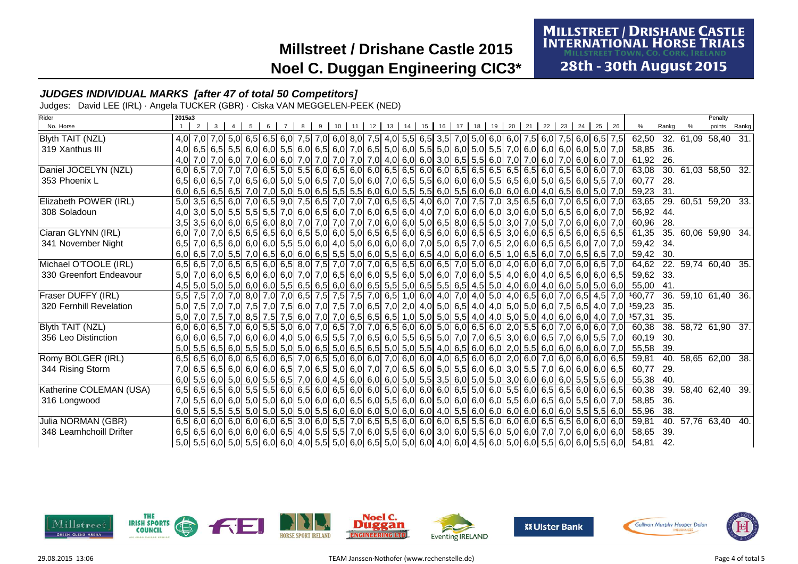# **MILLSTREET / DRISHANE CASTLE<br>INTERNATIONAL HORSE TRIALS**

28th - 30th August 2015

### **JUDGES INDIVIDUAL MARKS [after 47 of total 50 Competitors]**

Judges: David LEE (IRL) · Angela TUCKER (GBR) · Ciska VAN MEGGELEN-PEEK (NED)

| Rider                   | 2015a3 |                                                                                                                                     |                 |                |     |   |  |  |  |                        |  |          |  |             |  |          |                                                                                                                                |       | Penalty                   |       |
|-------------------------|--------|-------------------------------------------------------------------------------------------------------------------------------------|-----------------|----------------|-----|---|--|--|--|------------------------|--|----------|--|-------------|--|----------|--------------------------------------------------------------------------------------------------------------------------------|-------|---------------------------|-------|
| No. Horse               |        | 2 <sup>1</sup>                                                                                                                      | $3 \mid 4 \mid$ | 5 <sub>1</sub> | 6 7 | 8 |  |  |  | 9 10 11 12 13 14 15 16 |  | 17 18 19 |  | 20 21 22 23 |  | 24 25 26 |                                                                                                                                | Rankg | points                    | Rankg |
| <b>Blyth TAIT (NZL)</b> |        | 4,0 7,0 7,0 5,0 6,0 7,5 6,0 6,5 6,0 7,5 6,0 7,5 7,0 6,0 8,0 7,5 4,0 5,5 6,5 3,5 7,0 5,0 6,0 6,0 7,5 6,0 7,5 6,0 6,5 7,5             |                 |                |     |   |  |  |  |                        |  |          |  |             |  |          | 62,50                                                                                                                          |       | 32. 61,09 58,40 31.       |       |
| 319 Xanthus III         |        | 4,0 6,5 6,5 6,5 5,5 6,0 6,0 5,5 6,0 6,5 6,0 7,0 6,5 5,0 6,0 6,0 5,5 5,0 6,0 5,0 5,0 5,0 6,0 6,0 6,0 6,0 6,0 6,0 5,0 7,0             |                 |                |     |   |  |  |  |                        |  |          |  |             |  |          | 58,85 36.                                                                                                                      |       |                           |       |
|                         |        | 4,0 7,0 7,0 6,0 7,0 6,0 7,0 6,0 7,0 6,0 7,0 7,0 7,0 7,0 7,0 7,0 4,0 6,0 6,0 3,0 6,5 5,5 6,0 7,0 7,0 6,0 7,0 6,0 7,0 6,0 7,0         |                 |                |     |   |  |  |  |                        |  |          |  |             |  |          | 61,92 26.                                                                                                                      |       |                           |       |
| Daniel JOCELYN (NZL)    |        | 6,0 6,5 7,0 7,0 7,0 6,5 5,0 5,5 6,0 5,5 6,0 6,5 6,0 6,0 6,5 6,5 6,5 6,0 6,5 6,5 6,5 6,5 6,5 6,5 6,5 6,0 6,5 6,0 6,0 7,0             |                 |                |     |   |  |  |  |                        |  |          |  |             |  |          | 63,08                                                                                                                          |       | 30. 61,03 58,50 32.       |       |
| 353 Phoenix L           |        | 6,5 6,0 6,5 7,0 6,5 6,0 5,0 5,0 6,5 7,0 6,5 7,0 5,0 6,0 7,0 6,5 5,5 6,0 6,0 6,0 6,0 5,5 6,0 5,0 5,0 6,5 6,0 5,5 7,0                 |                 |                |     |   |  |  |  |                        |  |          |  |             |  |          | 60,77                                                                                                                          | -28.  |                           |       |
|                         |        |                                                                                                                                     |                 |                |     |   |  |  |  |                        |  |          |  |             |  |          | 59,23 31.                                                                                                                      |       |                           |       |
| Elizabeth POWER (IRL)   |        | 5,0 3,5 6,5 6,0 7,0 6,5 9,0 7,5 6,5 7,0 7,0 6,5 6,5 6,5 4,0 6,0 7,0 7,5 7,0 3,5 6,5 6,0 7,0 6,5 6,0 7,0                             |                 |                |     |   |  |  |  |                        |  |          |  |             |  |          |                                                                                                                                |       | 63,65 29. 60,51 59,20 33. |       |
| 308 Soladoun            |        | 4,0 3,0 5,0 5,0 5,5 5,5 5,5 7,0 6,0 6,5 6,0 7,0 6,0 6,5 6,0 4,0 7,0 6,0 6,0 6,0 6,0 5,0 6,0 5,0 6,0 6,0 6,0 6,0 7,0                 |                 |                |     |   |  |  |  |                        |  |          |  |             |  |          | 56,92 44.                                                                                                                      |       |                           |       |
|                         |        | 3,5 3,5 6,0 6,0 6,0 6,5 6,0 8,0 7,0 7,0 7,0 7,0 7,0 6,0 6,0 5,0 6,5 8,0 6,5 5,0 3,0 7,0 5,0 7,0 6,0 6,0 7,0                         |                 |                |     |   |  |  |  |                        |  |          |  |             |  |          | 60,96 28.                                                                                                                      |       |                           |       |
| Ciaran GLYNN (IRL)      |        | 6,0 7,0 7,0 6,5 6,5 6,5 6,6 6,6 6,6 6,6 6,0 6,0 6,0 6,5 6,5 6,0 6,5 6,0 6,6 6,0 6,5 6,5 3,0 6,0 6,5 6,5 6,5 6,6 6,5 6,5 6,5 6,6     |                 |                |     |   |  |  |  |                        |  |          |  |             |  |          | 61,35                                                                                                                          |       | 35. 60,06 59,90 34.       |       |
| 341 November Night      |        | 6,5 7,0 6,5 6,0 6,0 6,0 6,0 6,0 6,0 6,0 6,0 4,0 5,0 6,0 6,0 6,0 7,0 5,0 6,5 7,0 6,5 2,0 6,0 6,5 6,5 6,6 6,0 7,0 7,0                 |                 |                |     |   |  |  |  |                        |  |          |  |             |  |          | 59,42 34.                                                                                                                      |       |                           |       |
|                         |        | $6,0$ 6,5 7,0 5,5 7,0 6,5 6,0 6,0 6,0 6,0 6,5 5,5 5,0 6,0 5,5 6,0 6,5 4,0 6,0 6,0 6,0 6,5 1,0 6,5 6,0 7,0 6,5 6,5 7,0               |                 |                |     |   |  |  |  |                        |  |          |  |             |  |          | 59,42 30.                                                                                                                      |       |                           |       |
| Michael O'TOOLE (IRL)   |        | 6,5 6,5 7,0 6,5 6,5 6,5 6,0 6,5 8,0 7,5 7,0 7,0 7,0 6,5 6,5 6,0 6,5 7,0 5,0 6,0 4,0 6,0 6,0 7,0 6,0 6,5 7,0                         |                 |                |     |   |  |  |  |                        |  |          |  |             |  |          |                                                                                                                                |       | 64,62 22. 59,74 60,40 35. |       |
| 330 Greenfort Endeavour |        | 5,0 7,0 6,0 6,5 6,0 6,0 6,0 6,0 7,0 7,0 6,5 6,0 6,0 5,5 6,0 5,5 6,0 5,0 6,0 7,0 6,0 5,5 4,0 6,0 4,0 6,5 6,0 6,0 6,0 6,5             |                 |                |     |   |  |  |  |                        |  |          |  |             |  |          | 59,62 33.                                                                                                                      |       |                           |       |
|                         |        | 4,5 5,0 5,0 5,0 5,0 6,0 6,0 6,0 5,5 6,5 6,5 6,6 6,0 6,0 6,5 5,5 5,0 6,5 5,5 6,5 4,5 5,0 4,0 6,0 4,0 6,0 5,0 5,0 5,0 6,0             |                 |                |     |   |  |  |  |                        |  |          |  |             |  |          | 55,00                                                                                                                          | 41.   |                           |       |
| Fraser DUFFY (IRL)      |        | 5,5 7,6 7,0 7,0 8,0 7,0 6,5 7,6 7,5 7,5 7,6 7,0 6,5 1,0 6,0 4,0 7,0 4,0 5,0 4,0 6,5 6,0 7,0 6,5 4,5 7,0                             |                 |                |     |   |  |  |  |                        |  |          |  |             |  |          | 160,77                                                                                                                         |       | 36. 59,10 61,40 36.       |       |
| 320 Fernhill Revelation |        |                                                                                                                                     |                 |                |     |   |  |  |  |                        |  |          |  |             |  |          | 5,0 7,5 7,0 7,0 7,5 7,0 7,5 6,0 7,6 6,0 7,0 7,5 7,0 6,5 7,0 6,5 7,0 2,0 4,0 5,0 6,5 4,0 4,0 5,0 5,0 6,0 7,5 6,5 4,0 7,0 159,23 | 35.   |                           |       |
|                         |        | 5,0 7,0 7,5 7,0 8,5 7,5 7,6 6,0 7,0 7,0 6,5 6,5 6,5 6,5 1,0 5,0 5,0 5,5 4,0 4,0 5,0 5,0 4,0 6,0 6,0 4,0 7,0                         |                 |                |     |   |  |  |  |                        |  |          |  |             |  |          | 157,31                                                                                                                         | 35.   |                           |       |
| Blyth TAIT (NZL)        |        | 6,0 6,0 6,5 7,0 6,0 5,5 5,0 6,0 7,0 6,5 7,0 7,0 6,5 7,0 7,0 6,5 6,0 6,0 5,0 6,0 6,5 6,0 2,0 5,5 6,0 7,0 6,0 6,0 7,0                 |                 |                |     |   |  |  |  |                        |  |          |  |             |  |          | 60,38                                                                                                                          |       | 38. 58,72 61,90 37.       |       |
| 356 Leo Distinction     |        | 6,0 6,5 7,0 6,0 6,0 6,0 6,0 4,0 5,0 6,5 5,5 7,0 6,5 6,0 5,5 6,5 6,5 7,0 7,0 7,0 6,5 3,0 6,0 6,5 7,0 6,0 5,5 7,0                     |                 |                |     |   |  |  |  |                        |  |          |  |             |  |          | 60,19                                                                                                                          | 30.   |                           |       |
|                         |        | 5,0 5,5 6,5 6,0 5,5 6,0 5,5 6,0 5,0 5,0 6,5 6,0 6,5 6,5 6,5 6,5 6,0 5,0 5,6 4,0 6,5 6,0 6,0 5,5 6,0 5,5 6,0 6,0 6,0 6,0 7,0         |                 |                |     |   |  |  |  |                        |  |          |  |             |  |          | 55,58                                                                                                                          | 39.   |                           |       |
| Romy BOLGER (IRL)       |        | 6,5 6,6 6,0 6,0 6,0 6,5 6,0 6,5 7,0 6,5 7,0 6,5 6,0 6,0 7,0 6,0 6,0 4,0 6,5 6,0 6,0 2,0 6,0 7,0 6,0 6,0 6,0 6,0 6,0                 |                 |                |     |   |  |  |  |                        |  |          |  |             |  |          | 59,81                                                                                                                          | 40.   | 58,65 62,00               | 38.   |
| 344 Rising Storm        |        | 7,0 6,5 6,5 6,6 6,0 6,0 6,0 6,6 7,0 6,5 7,0 6,5 6,0 7,0 7,0 6,5 6,0 5,0 5,5 6,0 6,0 3,0 5,5 7,0 6,0 6,0 6,0 6,0 6,5                 |                 |                |     |   |  |  |  |                        |  |          |  |             |  |          | 60.77                                                                                                                          | 29.   |                           |       |
|                         |        | 6,0 5,5 6,0 6,0 6,0 6,0 6,5 6,5 6,6 7,0 6,0 6,0 4,5 6,0 6,0 6,0 6,0 5,0 5,5 3,5 6,0 5,0 5,0 5,0 6,0 6,0 6,0 6,0 5,5 5,5 6,0         |                 |                |     |   |  |  |  |                        |  |          |  |             |  |          | 55,38                                                                                                                          | 40.   |                           |       |
| Katherine COLEMAN (USA) |        | 6,5 6,5 6,6 6,0 5,5 6,0 6,5 6,0 6,5 6,0 6,5 6,0 6,6 5,0 6,0 5,0 6,0 6,0 6,0 6,5 5,0 6,0 5,5 6,0 6,5 6,0 6,5 6,0 6,0 6,5 6,0 6,6     |                 |                |     |   |  |  |  |                        |  |          |  |             |  |          | 60,38                                                                                                                          | 39.   | 58,40 62,40 39.           |       |
| 316 Longwood            |        | 7,0 5,5 6,0 6,0 6,0 5,0 5,0 6,0 5,0 6,0 6,0 6,0 6,0 6,5 6,0 5,5 6,0 6,0 5,0 6,0 6,0 6,0 6,0 5,5 6,0 6,5 6,0 5,5 6,0 7,0             |                 |                |     |   |  |  |  |                        |  |          |  |             |  |          | 58,85                                                                                                                          | - 36. |                           |       |
|                         |        | 6,0 5,5 5,5 5,5 5,5 5,5 5,5 6,0 5,0 5,0 5,0 5,5 6,0 6,0 6,0 5,0 6,0 6,0 6,0 4,0 5,5 6,0 6,0 6,0 6,0 6,0 6,0 5,5 5,5 5,5 6,0         |                 |                |     |   |  |  |  |                        |  |          |  |             |  |          | 55,96 38.                                                                                                                      |       |                           |       |
| Julia NORMAN (GBR)      |        | 6,5 6,0 6,0 6,0 6,0 6,0 6,0 6,0 6,5 3,0 6,0 5,5 7,0 6,5 5,5 6,0 6,0 6,0 6,5 5,5 6,0 6,0 6,0 6,0 6,5 6,5 6,0 6,0 6,0 6,0             |                 |                |     |   |  |  |  |                        |  |          |  |             |  |          | 59.81                                                                                                                          | 40.   | 57,76 63,40               | 40.   |
| 348 Leamhchoill Drifter |        | 6,5 6,6 6,0 6,0 6,0 6,0 6,0 6,6 4,0 5,5 5,5 7,0 6,0 5,5 6,0 6,0 3,0 6,0 5,5 6,0 5,0 6,0 7,0 7,0 6,0 6,0 6,0 6,0                     |                 |                |     |   |  |  |  |                        |  |          |  |             |  |          | 58,65                                                                                                                          | 39.   |                           |       |
|                         |        | 5,0 5,0 5,0 5,0 5,0 5,5 6,0 5,5 6,0 6,0 4,0 5,5 5,0 6,0 6,5 5,0 5,0 5,0 6,0 4,0 6,0 4,5 6,0 5,0 6,0 5,0 6,0 5,5 6,0 5,5 6,0 5,5 6,0 |                 |                |     |   |  |  |  |                        |  |          |  |             |  |          | 54,81                                                                                                                          | 42.   |                           |       |













Noel C.

**Duggan**